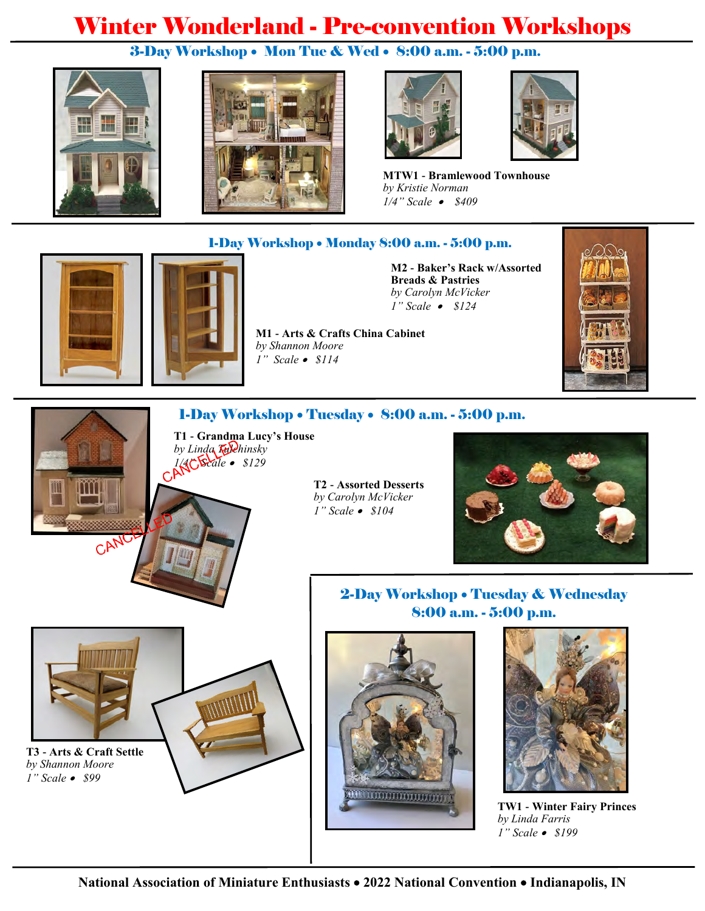# Winter Wonderland - Pre-convention Workshops

## 3-Day Workshop • Mon Tue & Wed • 8:00 a.m. - 5:00 p.m.









**MTW1 - Bramlewood Townhouse** *by Kristie Norman 1/4" Scale* • *\$409*

#### 1-Day Workshop • Monday 8:00 a.m. - 5:00 p.m.

**M2 - Baker's Rack w/Assorted Breads & Pastries** *by Carolyn McVicker 1" Scale* • *\$124*





#### 1-Day Workshop • Tuesday • 8:00 a.m. - 5:00 p.m.

**T1 - Grandma Lucy's House** by Linda **Tulchinsky** *1/4" Scale* • *\$129*

**T2 - Assorted Desserts** *by Carolyn McVicker 1" Scale* • *\$104*



# **T3 - Arts & Craft Settle** *by Shannon Moore*

CAN

*1" Scale* • *\$99*



8:00 a.m. - 5:00 p.m.

2-Day Workshop • Tuesday & Wednesday



**TW1 - Winter Fairy Princes** *by Linda Farris 1" Scale* • *\$199*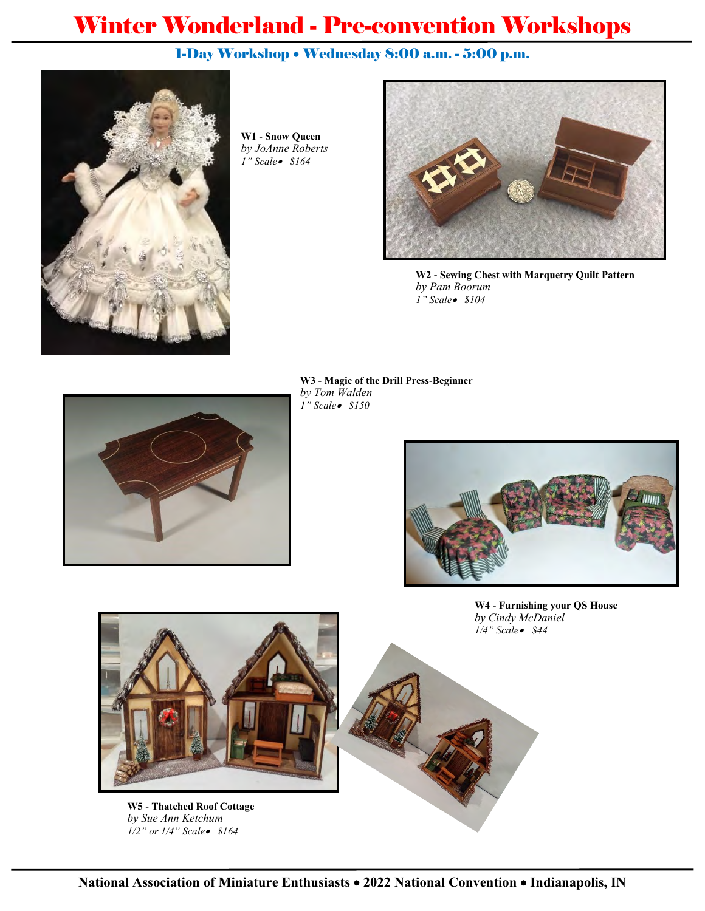# Winter Wonderland - Pre-convention Workshops

## 1-Day Workshop • Wednesday 8:00 a.m. - 5:00 p.m.



**W1 - Snow Queen**  *by JoAnne Roberts 1" Scale*• *\$164*



**W2 - Sewing Chest with Marquetry Quilt Pattern** *by Pam Boorum 1" Scale*• *\$104*



**W3 - Magic of the Drill Press-Beginner** *by Tom Walden 1" Scale*• *\$150*



**W4 - Furnishing your QS House** *by Cindy McDaniel 1/4" Scale*• *\$44*



**W5 - Thatched Roof Cottage** *by Sue Ann Ketchum 1/2" or 1/4" Scale*• *\$164*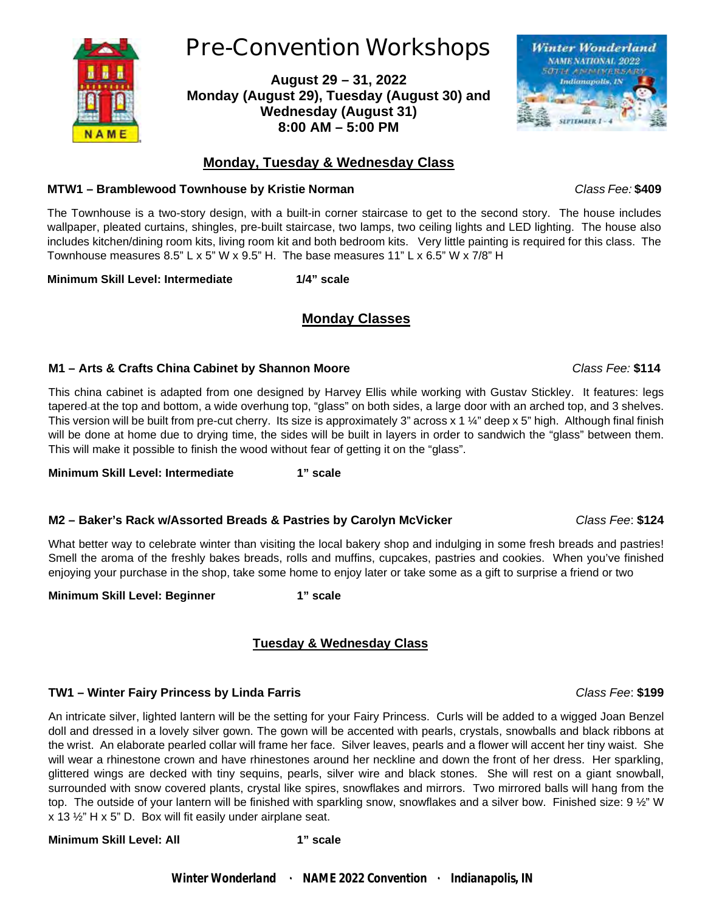

### **Monday, Tuesday & Wednesday Class**

#### **MTW1 – Bramblewood Townhouse by Kristie Norman** *Class Fee:* **\$409**

**NAME** 

The Townhouse is a two-story design, with a built-in corner staircase to get to the second story. The house includes wallpaper, pleated curtains, shingles, pre-built staircase, two lamps, two ceiling lights and LED lighting. The house also includes kitchen/dining room kits, living room kit and both bedroom kits. Very little painting is required for this class. The Townhouse measures 8.5" L x 5" W x 9.5" H. The base measures 11" L x 6.5" W x 7/8" H

**Minimum Skill Level: Intermediate 1/4" scale**

### **Monday Classes**

#### **M1 – Arts & Crafts China Cabinet by Shannon Moore** *Class Fee:* **\$114**

This china cabinet is adapted from one designed by Harvey Ellis while working with Gustav Stickley. It features: legs tapered at the top and bottom, a wide overhung top, "glass" on both sides, a large door with an arched top, and 3 shelves. This version will be built from pre-cut cherry. Its size is approximately 3" across  $x 1 \frac{1}{4}$ " deep x 5" high. Although final finish will be done at home due to drying time, the sides will be built in layers in order to sandwich the "glass" between them. This will make it possible to finish the wood without fear of getting it on the "glass".

**Minimum Skill Level: Intermediate 1" scale**

#### **M2 – Baker's Rack w/Assorted Breads & Pastries by Carolyn McVicker** *Class Fee*: **\$124**

What better way to celebrate winter than visiting the local bakery shop and indulging in some fresh breads and pastries! Smell the aroma of the freshly bakes breads, rolls and muffins, cupcakes, pastries and cookies. When you've finished enjoying your purchase in the shop, take some home to enjoy later or take some as a gift to surprise a friend or two

**Minimum Skill Level: Beginner 1" scale**

#### **Tuesday & Wednesday Class**

#### **TW1 – Winter Fairy Princess by Linda Farris** *Class Fee*: **\$199**

An intricate silver, lighted lantern will be the setting for your Fairy Princess. Curls will be added to a wigged Joan Benzel doll and dressed in a lovely silver gown. The gown will be accented with pearls, crystals, snowballs and black ribbons at the wrist. An elaborate pearled collar will frame her face. Silver leaves, pearls and a flower will accent her tiny waist. She will wear a rhinestone crown and have rhinestones around her neckline and down the front of her dress. Her sparkling, glittered wings are decked with tiny sequins, pearls, silver wire and black stones. She will rest on a giant snowball, surrounded with snow covered plants, crystal like spires, snowflakes and mirrors. Two mirrored balls will hang from the top. The outside of your lantern will be finished with sparkling snow, snowflakes and a silver bow. Finished size: 9 1/2" W x 13 ½" H x 5" D. Box will fit easily under airplane seat.

#### **Minimum Skill Level: All 1" scale**

*Winter Wonderland* ۰ *NAME 2022 Convention* ۰ *Indianapolis, IN*

# **Pre-Convention Workshops**

**August 29 – 31, 2022 Monday (August 29), Tuesday (August 30) and Wednesday (August 31) 8:00 AM – 5:00 PM**

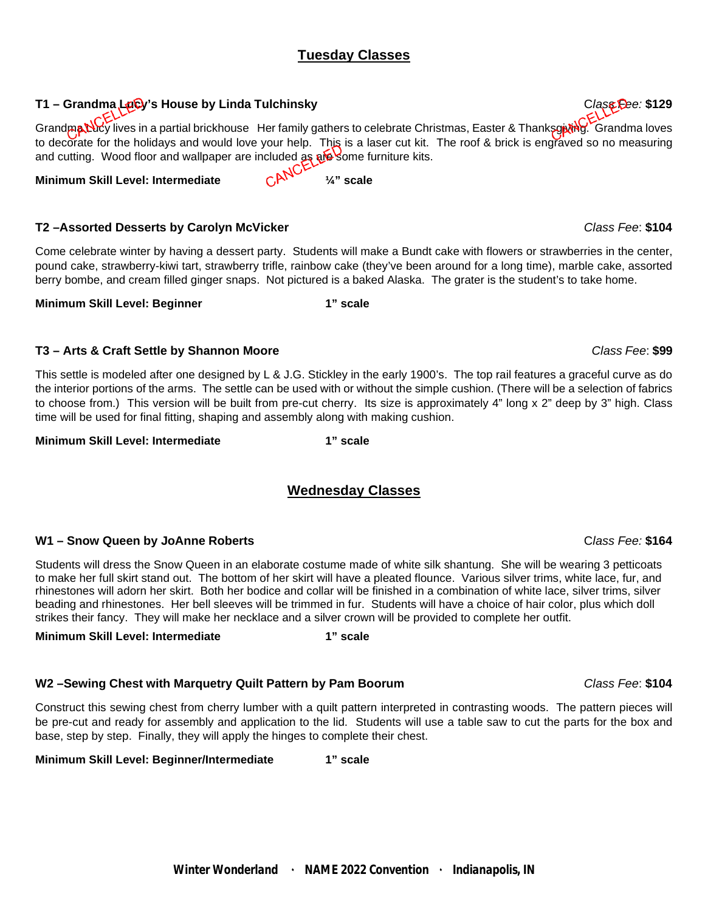#### **Tuesday Classes**

#### **T1 – Grandma Lucy's House by Linda Tulchinsky** C*lass Fee:* **\$129**

Grandma Lucy lives in a partial brickhouse Her family gathers to celebrate Christmas, Easter & Thanksgiving. Grandma loves to decorate for the holidays and would love your help. This is a laser cut kit. The roof & brick is engraved so no measuring and cutting. Wood floor and wallpaper are included as also some furniture kits.<br>Minimum Skill Level: Intermediate and CLANCE

#### **Minimum Skill Level: Intermediate ¼" scale**

#### **T2 –Assorted Desserts by Carolyn McVicker** *Class Fee*: **\$104**

Come celebrate winter by having a dessert party. Students will make a Bundt cake with flowers or strawberries in the center, pound cake, strawberry-kiwi tart, strawberry trifle, rainbow cake (they've been around for a long time), marble cake, assorted berry bombe, and cream filled ginger snaps. Not pictured is a baked Alaska. The grater is the student's to take home.

**Minimum Skill Level: Beginner 1" scale**

#### **T3 – Arts & Craft Settle by Shannon Moore** *Class Fee*: **\$99**

This settle is modeled after one designed by L & J.G. Stickley in the early 1900's. The top rail features a graceful curve as do the interior portions of the arms. The settle can be used with or without the simple cushion. (There will be a selection of fabrics to choose from.) This version will be built from pre-cut cherry. Its size is approximately 4" long x 2" deep by 3" high. Class time will be used for final fitting, shaping and assembly along with making cushion.

#### **Minimum Skill Level: Intermediate 1" scale**

### **Wednesday Classes**

#### **W1 – Snow Queen by JoAnne Roberts** C*lass Fee:* **\$164**

Students will dress the Snow Queen in an elaborate costume made of white silk shantung. She will be wearing 3 petticoats to make her full skirt stand out. The bottom of her skirt will have a pleated flounce. Various silver trims, white lace, fur, and rhinestones will adorn her skirt. Both her bodice and collar will be finished in a combination of white lace, silver trims, silver beading and rhinestones. Her bell sleeves will be trimmed in fur. Students will have a choice of hair color, plus which doll strikes their fancy. They will make her necklace and a silver crown will be provided to complete her outfit.

#### **Minimum Skill Level: Intermediate 1" scale**

#### **W2 –Sewing Chest with Marquetry Quilt Pattern by Pam Boorum** *Class Fee*: **\$104**

Construct this sewing chest from cherry lumber with a quilt pattern interpreted in contrasting woods. The pattern pieces will be pre-cut and ready for assembly and application to the lid. Students will use a table saw to cut the parts for the box and base, step by step. Finally, they will apply the hinges to complete their chest.

#### **Minimum Skill Level: Beginner/Intermediate 1" scale**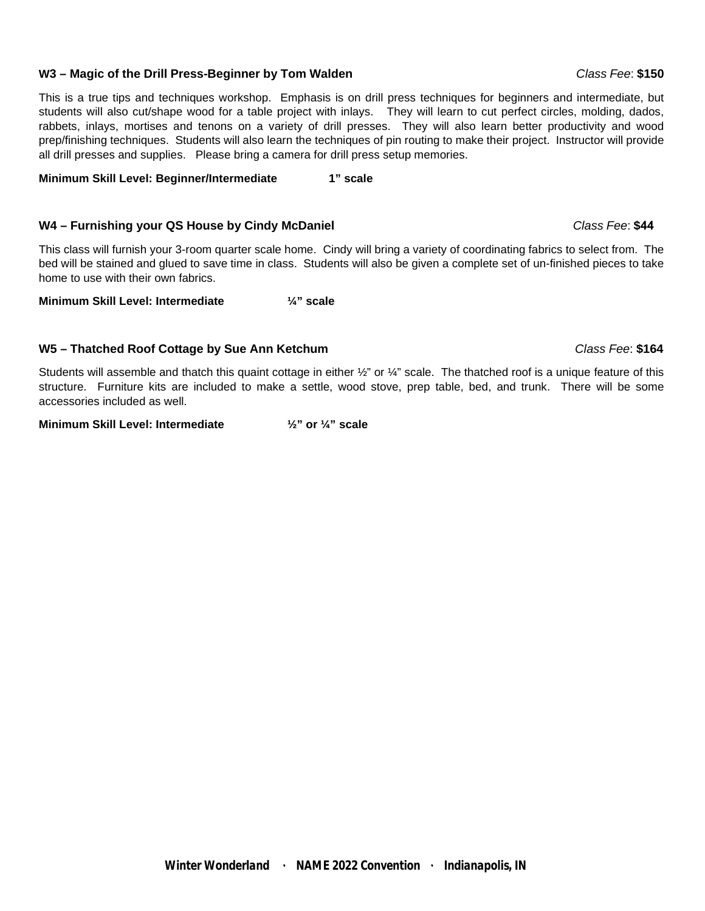#### **W3 – Magic of the Drill Press-Beginner by Tom Walden** *Class Fee*: **\$150**

This is a true tips and techniques workshop. Emphasis is on drill press techniques for beginners and intermediate, but students will also cut/shape wood for a table project with inlays. They will learn to cut perfect circles, molding, dados, rabbets, inlays, mortises and tenons on a variety of drill presses. They will also learn better productivity and wood prep/finishing techniques. Students will also learn the techniques of pin routing to make their project. Instructor will provide all drill presses and supplies. Please bring a camera for drill press setup memories.

**Minimum Skill Level: Beginner/Intermediate 1" scale**

#### **W4 – Furnishing your QS House by Cindy McDaniel** *Class Fee*: **\$44**

This class will furnish your 3-room quarter scale home. Cindy will bring a variety of coordinating fabrics to select from. The bed will be stained and glued to save time in class. Students will also be given a complete set of un-finished pieces to take home to use with their own fabrics.

**Minimum Skill Level: Intermediate ¼" scale**

#### **W5 – Thatched Roof Cottage by Sue Ann Ketchum** *Class Fee*: **\$164**

Students will assemble and thatch this quaint cottage in either  $\frac{1}{2}$ " or  $\frac{1}{4}$ " scale. The thatched roof is a unique feature of this structure. Furniture kits are included to make a settle, wood stove, prep table, bed, and trunk. There will be some accessories included as well.

**Minimum Skill Level: Intermediate ½" or ¼" scale**